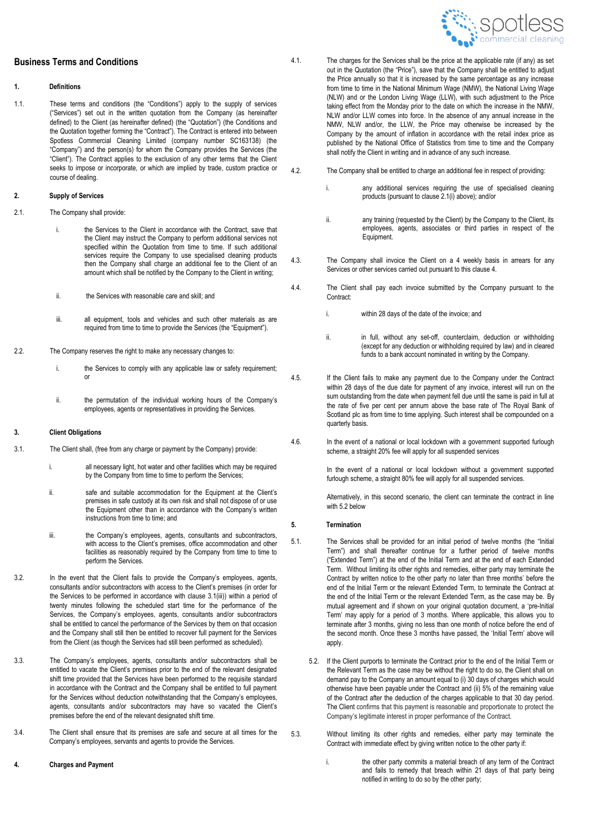# **Business Terms and Conditions**

#### **1. Definitions**

1.1. These terms and conditions (the "Conditions") apply to the supply of services ("Services") set out in the written quotation from the Company (as hereinafter defined) to the Client (as hereinafter defined) (the "Quotation") (the Conditions and the Quotation together forming the "Contract"). The Contract is entered into between Spotless Commercial Cleaning Limited (company number SC163138) (the "Company") and the person(s) for whom the Company provides the Services (the "Client"). The Contract applies to the exclusion of any other terms that the Client seeks to impose or incorporate, or which are implied by trade, custom practice or course of dealing.

### **2. Supply of Services**

- 2.1. The Company shall provide:
	- i. the Services to the Client in accordance with the Contract, save that the Client may instruct the Company to perform additional services not specified within the Quotation from time to time. If such additional services require the Company to use specialised cleaning products then the Company shall charge an additional fee to the Client of an amount which shall be notified by the Company to the Client in writing;
	- ii. the Services with reasonable care and skill; and
	- iii. all equipment, tools and vehicles and such other materials as are required from time to time to provide the Services (the "Equipment").
- 2.2. The Company reserves the right to make any necessary changes to:
	- i. the Services to comply with any applicable law or safety requirement: or
	- ii. the permutation of the individual working hours of the Company's employees, agents or representatives in providing the Services.

# **3. Client Obligations**

- 3.1. The Client shall, (free from any charge or payment by the Company) provide:
	- i. all necessary light, hot water and other facilities which may be required by the Company from time to time to perform the Services;
	- ii. safe and suitable accommodation for the Equipment at the Client's premises in safe custody at its own risk and shall not dispose of or use the Equipment other than in accordance with the Company's written instructions from time to time; and
	- iii. the Company's employees, agents, consultants and subcontractors, with access to the Client's premises, office accommodation and other facilities as reasonably required by the Company from time to time to perform the Services.
- 3.2. In the event that the Client fails to provide the Company's employees, agents, consultants and/or subcontractors with access to the Client's premises (in order for the Services to be performed in accordance with clause 3.1(iii)) within a period of twenty minutes following the scheduled start time for the performance of the Services, the Company's employees, agents, consultants and/or subcontractors shall be entitled to cancel the performance of the Services by them on that occasion and the Company shall still then be entitled to recover full payment for the Services from the Client (as though the Services had still been performed as scheduled).
- 3.3. The Company's employees, agents, consultants and/or subcontractors shall be entitled to vacate the Client's premises prior to the end of the relevant designated shift time provided that the Services have been performed to the requisite standard in accordance with the Contract and the Company shall be entitled to full payment for the Services without deduction notwithstanding that the Company's employees, agents, consultants and/or subcontractors may have so vacated the Client's premises before the end of the relevant designated shift time.
- 3.4. The Client shall ensure that its premises are safe and secure at all times for the Company's employees, servants and agents to provide the Services.
- **4. Charges and Payment**
- 4.1. The charges for the Services shall be the price at the applicable rate (if any) as set out in the Quotation (the "Price"), save that the Company shall be entitled to adjust the Price annually so that it is increased by the same percentage as any increase from time to time in the National Minimum Wage (NMW), the National Living Wage (NLW) and or the London Living Wage (LLW), with such adjustment to the Price taking effect from the Monday prior to the date on which the increase in the NMW, NLW and/or LLW comes into force. In the absence of any annual increase in the NMW, NLW and/or, the LLW, the Price may otherwise be increased by the Company by the amount of inflation in accordance with the retail index price as published by the National Office of Statistics from time to time and the Company shall notify the Client in writing and in advance of any such increase.
- 4.2. The Company shall be entitled to charge an additional fee in respect of providing:
	- i. any additional services requiring the use of specialised cleaning products (pursuant to clause 2.1(i) above); and/or
	- ii. any training (requested by the Client) by the Company to the Client, its employees, agents, associates or third parties in respect of the Equipment.
- 4.3. The Company shall invoice the Client on a 4 weekly basis in arrears for any Services or other services carried out pursuant to this clause 4.
- 4.4. The Client shall pay each invoice submitted by the Company pursuant to the Contract:
	- i. within 28 days of the date of the invoice; and
	- ii. in full, without any set-off, counterclaim, deduction or withholding (except for any deduction or withholding required by law) and in cleared funds to a bank account nominated in writing by the Company.
- 4.5. If the Client fails to make any payment due to the Company under the Contract within 28 days of the due date for payment of any invoice, interest will run on the sum outstanding from the date when payment fell due until the same is paid in full at the rate of five per cent per annum above the base rate of The Royal Bank of Scotland plc as from time to time applying. Such interest shall be compounded on a quarterly basis.
- 4.6. In the event of a national or local lockdown with a government supported furlough scheme, a straight 20% fee will apply for all suspended services

In the event of a national or local lockdown without a government supported furlough scheme, a straight 80% fee will apply for all suspended services.

Alternatively, in this second scenario, the client can terminate the contract in line with 5.2 below

#### **5. Termination**

- 5.1. The Services shall be provided for an initial period of twelve months (the "Initial Term") and shall thereafter continue for a further period of twelve months ("Extended Term") at the end of the Initial Term and at the end of each Extended Term. Without limiting its other rights and remedies, either party may terminate the Contract by written notice to the other party no later than three months' before the end of the Initial Term or the relevant Extended Term, to terminate the Contract at the end of the Initial Term or the relevant Extended Term, as the case may be. By mutual agreement and if shown on your original quotation document, a 'pre-Initial Term' may apply for a period of 3 months. Where applicable, this allows you to terminate after 3 months, giving no less than one month of notice before the end of the second month. Once these 3 months have passed, the 'Initial Term' above will apply.
	- 5.2. If the Client purports to terminate the Contract prior to the end of the Initial Term or the Relevant Term as the case may be without the right to do so, the Client shall on demand pay to the Company an amount equal to (i) 30 days of charges which would otherwise have been payable under the Contract and (ii) 5% of the remaining value of the Contract after the deduction of the charges applicable to that 30 day period. The Client confirms that this payment is reasonable and proportionate to protect the Company's legitimate interest in proper performance of the Contract.
- 5.3. Without limiting its other rights and remedies, either party may terminate the Contract with immediate effect by giving written notice to the other party if:
	- i. the other party commits a material breach of any term of the Contract and fails to remedy that breach within 21 days of that party being notified in writing to do so by the other party;

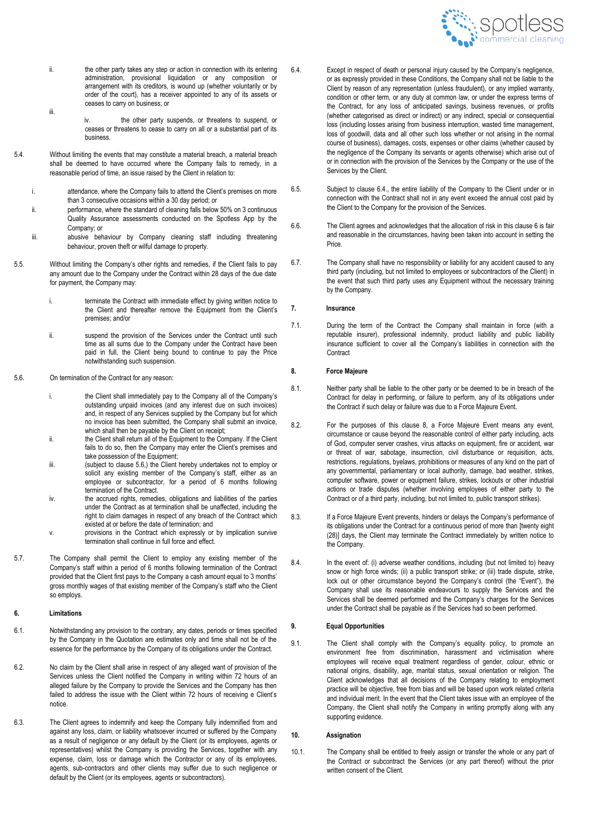

- ii. the other party takes any step or action in connection with its entering administration, provisional liquidation or any composition or arrangement with its creditors, is wound up (whether voluntarily or by order of the court), has a receiver appointed to any of its assets or ceases to carry on business; or iii.
	- iv. the other party suspends, or threatens to suspend, or ceases or threatens to cease to carry on all or a substantial part of its business.
- 5.4. Without limiting the events that may constitute a material breach, a material breach shall be deemed to have occurred where the Company fails to remedy, in a reasonable period of time, an issue raised by the Client in relation to:
	- i. attendance, where the Company fails to attend the Client's premises on more than 3 consecutive occasions within a 30 day period; or
	- ii. performance, where the standard of cleaning falls below 50% on 3 continuous Quality Assurance assessments conducted on the Spotless App by the Company; or
	- iii. abusive behaviour by Company cleaning staff including threatening behaviour, proven theft or wilful damage to property.
- 5.5. Without limiting the Company's other rights and remedies, if the Client fails to pay any amount due to the Company under the Contract within 28 days of the due date for payment, the Company may:
	- i. terminate the Contract with immediate effect by giving written notice to the Client and thereafter remove the Equipment from the Client's premises; and/or
	- ii. suspend the provision of the Services under the Contract until such time as all sums due to the Company under the Contract have been paid in full, the Client being bound to continue to pay the Price notwithstanding such suspension.
- 5.6. On termination of the Contract for any reason:
	- i. the Client shall immediately pay to the Company all of the Company's outstanding unpaid invoices (and any interest due on such invoices) and, in respect of any Services supplied by the Company but for which no invoice has been submitted, the Company shall submit an invoice, which shall then be payable by the Client on receipt;
	- ii. the Client shall return all of the Equipment to the Company. If the Client fails to do so, then the Company may enter the Client's premises and take possession of the Equipment;
	- iii. (subject to clause 5.6,) the Client hereby undertakes not to employ or solicit any existing member of the Company's staff, either as an employee or subcontractor, for a period of 6 months following termination of the Contract.
	- iv. the accrued rights, remedies, obligations and liabilities of the parties under the Contract as at termination shall be unaffected, including the right to claim damages in respect of any breach of the Contract which existed at or before the date of termination; and
	- v. provisions in the Contract which expressly or by implication survive termination shall continue in full force and effect.
- 5.7. The Company shall permit the Client to employ any existing member of the Company's staff within a period of 6 months following termination of the Contract provided that the Client first pays to the Company a cash amount equal to 3 months' gross monthly wages of that existing member of the Company's staff who the Client so employs.

#### **6. Limitations**

- 6.1. Notwithstanding any provision to the contrary, any dates, periods or times specified by the Company in the Quotation are estimates only and time shall not be of the essence for the performance by the Company of its obligations under the Contract.
- 6.2. No claim by the Client shall arise in respect of any alleged want of provision of the Services unless the Client notified the Company in writing within 72 hours of an alleged failure by the Company to provide the Services and the Company has then failed to address the issue with the Client within 72 hours of receiving e Client's notice.
- 6.3. The Client agrees to indemnify and keep the Company fully indemnified from and against any loss, claim, or liability whatsoever incurred or suffered by the Company as a result of negligence or any default by the Client (or its employees, agents or representatives) whilst the Company is providing the Services, together with any expense, claim, loss or damage which the Contractor or any of its employees, agents, sub-contractors and other clients may suffer due to such negligence or default by the Client (or its employees, agents or subcontractors).
- 6.4. Except in respect of death or personal injury caused by the Company's negligence, or as expressly provided in these Conditions, the Company shall not be liable to the Client by reason of any representation (unless fraudulent), or any implied warranty, condition or other term, or any duty at common law, or under the express terms of the Contract, for any loss of anticipated savings, business revenues, or profits (whether categorised as direct or indirect) or any indirect, special or consequential loss (including losses arising from business interruption, wasted time management, loss of goodwill, data and all other such loss whether or not arising in the normal course of business), damages, costs, expenses or other claims (whether caused by the negligence of the Company its servants or agents otherwise) which arise out of or in connection with the provision of the Services by the Company or the use of the Services by the Client.
- 6.5. Subject to clause 6.4., the entire liability of the Company to the Client under or in connection with the Contract shall not in any event exceed the annual cost paid by the Client to the Company for the provision of the Services.
- 6.6. The Client agrees and acknowledges that the allocation of risk in this clause 6 is fair and reasonable in the circumstances, having been taken into account in setting the Price.
- 6.7. The Company shall have no responsibility or liability for any accident caused to any third party (including, but not limited to employees or subcontractors of the Client) in the event that such third party uses any Equipment without the necessary training by the Company.

### **7. Insurance**

7.1. During the term of the Contract the Company shall maintain in force (with a reputable insurer), professional indemnity, product liability and public liability insurance sufficient to cover all the Company's liabilities in connection with the **Contract** 

## **8. Force Majeure**

- 8.1. Neither party shall be liable to the other party or be deemed to be in breach of the Contract for delay in performing, or failure to perform, any of its obligations under the Contract if such delay or failure was due to a Force Majeure Event.
- 8.2. For the purposes of this clause 8, a Force Majeure Event means any event, circumstance or cause beyond the reasonable control of either party including, acts of God, computer server crashes, virus attacks on equipment, fire or accident, war or threat of war, sabotage, insurrection, civil disturbance or requisition, acts, restrictions, regulations, byelaws, prohibitions or measures of any kind on the part of any governmental, parliamentary or local authority, damage, bad weather, strikes, computer software, power or equipment failure, strikes, lockouts or other industrial actions or trade disputes (whether involving employees of either party to the Contract or of a third party, including, but not limited to, public transport strikes).
- 8.3. If a Force Majeure Event prevents, hinders or delays the Company's performance of its obligations under the Contract for a continuous period of more than [twenty eight (28)] days, the Client may terminate the Contract immediately by written notice to the Company.
- 8.4. In the event of: (i) adverse weather conditions, including (but not limited to) heavy snow or high force winds; (ii) a public transport strike; or (iii) trade dispute, strike, lock out or other circumstance beyond the Company's control (the "Event"), the Company shall use its reasonable endeavours to supply the Services and the Services shall be deemed performed and the Company's charges for the Services under the Contract shall be payable as if the Services had so been performed.

#### **9. Equal Opportunities**

9.1. The Client shall comply with the Company's equality policy, to promote an environment free from discrimination, harassment and victimisation where employees will receive equal treatment regardless of gender, colour, ethnic or national origins, disability, age, marital status, sexual orientation or religion. The Client acknowledges that all decisions of the Company relating to employment practice will be objective, free from bias and will be based upon work related criteria and individual merit. In the event that the Client takes issue with an employee of the Company, the Client shall notify the Company in writing promptly along with any supporting evidence.

#### **10. Assignation**

10.1. The Company shall be entitled to freely assign or transfer the whole or any part of the Contract or subcontract the Services (or any part thereof) without the prior written consent of the Client.